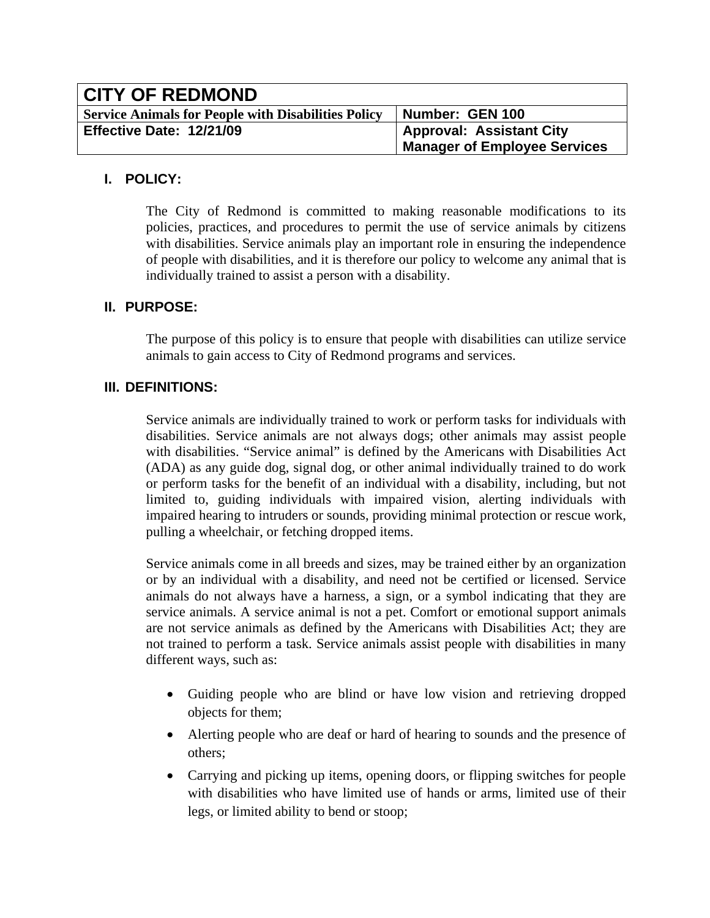| <b>CITY OF REDMOND</b>                                     |                                                                        |
|------------------------------------------------------------|------------------------------------------------------------------------|
| <b>Service Animals for People with Disabilities Policy</b> | Number: GEN 100                                                        |
| Effective Date: 12/21/09                                   | <b>Approval: Assistant City</b><br><b>Manager of Employee Services</b> |

### **I. POLICY:**

The City of Redmond is committed to making reasonable modifications to its policies, practices, and procedures to permit the use of service animals by citizens with disabilities. Service animals play an important role in ensuring the independence of people with disabilities, and it is therefore our policy to welcome any animal that is individually trained to assist a person with a disability.

# **II. PURPOSE:**

The purpose of this policy is to ensure that people with disabilities can utilize service animals to gain access to City of Redmond programs and services.

# **III. DEFINITIONS:**

Service animals are individually trained to work or perform tasks for individuals with disabilities. Service animals are not always dogs; other animals may assist people with disabilities. "Service animal" is defined by the Americans with Disabilities Act (ADA) as any guide dog, signal dog, or other animal individually trained to do work or perform tasks for the benefit of an individual with a disability, including, but not limited to, guiding individuals with impaired vision, alerting individuals with impaired hearing to intruders or sounds, providing minimal protection or rescue work, pulling a wheelchair, or fetching dropped items.

Service animals come in all breeds and sizes, may be trained either by an organization or by an individual with a disability, and need not be certified or licensed. Service animals do not always have a harness, a sign, or a symbol indicating that they are service animals. A service animal is not a pet. Comfort or emotional support animals are not service animals as defined by the Americans with Disabilities Act; they are not trained to perform a task. Service animals assist people with disabilities in many different ways, such as:

- Guiding people who are blind or have low vision and retrieving dropped objects for them;
- Alerting people who are deaf or hard of hearing to sounds and the presence of others;
- Carrying and picking up items, opening doors, or flipping switches for people with disabilities who have limited use of hands or arms, limited use of their legs, or limited ability to bend or stoop;